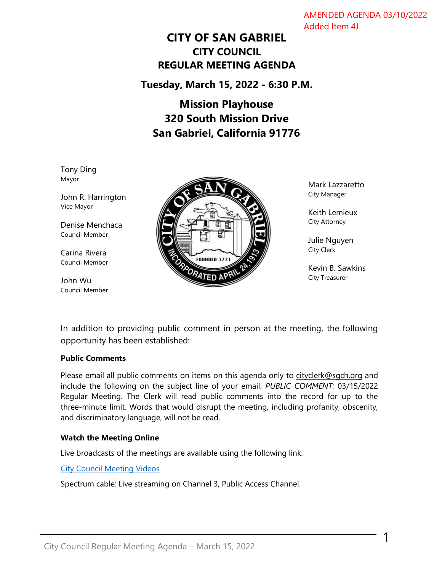AMENDED AGENDA 03/10/2022 Added Item 4J

# **CITY OF SAN GABRIEL CITY COUNCIL REGULAR MEETING AGENDA**

**Tuesday, March 15, 2022 - 6:30 P.M.**

# **Mission Playhouse 320 South Mission Drive San Gabriel, California 91776**

Tony Ding Mayor

John R. Harrington Vice Mayor

Denise Menchaca Council Member

Carina Rivera Council Member

John Wu Council Member



Mark Lazzaretto City Manager

Keith Lemieux City Attorney

Julie Nguyen City Clerk

Kevin B. Sawkins City Treasurer

1

In addition to providing public comment in person at the meeting, the following opportunity has been established:

# **Public Comments**

Please email all public comments on items on this agenda only to [cityclerk@sgch.org](mailto:cityclerk@sgch.org) and include the following on the subject line of your email: *PUBLIC COMMENT:* 03/15/2022 Regular Meeting. The Clerk will read public comments into the record for up to the three-minute limit. Words that would disrupt the meeting, including profanity, obscenity, and discriminatory language, will not be read.

#### **Watch the Meeting Online**

Live broadcasts of the meetings are available using the following link:

[City Council Meeting Videos](https://www.youtube.com/CityofSanGabriel)

Spectrum cable: Live streaming on Channel 3, Public Access Channel.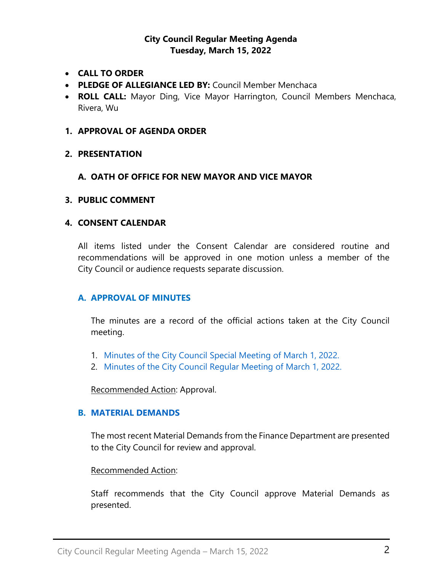# **City Council Regular Meeting Agenda Tuesday, March 15, 2022**

- **CALL TO ORDER**
- **PLEDGE OF ALLEGIANCE LED BY:** Council Member Menchaca
- **ROLL CALL:** Mayor Ding, Vice Mayor Harrington, Council Members Menchaca, Rivera, Wu

#### **1. APPROVAL OF AGENDA ORDER**

**2. PRESENTATION**

### **A. OATH OF OFFICE FOR NEW MAYOR AND VICE MAYOR**

#### **3. PUBLIC COMMENT**

### **4. CONSENT CALENDAR**

All items listed under the Consent Calendar are considered routine and recommendations will be approved in one motion unless a member of the City Council or audience requests separate discussion.

# **A. APPROVAL OF MINUTES**

The minutes are a record of the official actions taken at the City Council meeting.

- 1. [Minutes of the City Council Special](https://www.sangabrielcity.com/DocumentCenter/View/16222/Item-4A1---2022-03-01-Minutes---Special) Meeting of March 1, 2022.
- 2. [Minutes of the City Council Regular Meeting of March 1, 2022.](https://www.sangabrielcity.com/DocumentCenter/View/16223/Item-4A2---2022-03-01-Minutes---Regular)

Recommended Action: Approval.

#### **B. [MATERIAL DEMANDS](https://www.sangabrielcity.com/DocumentCenter/View/16224/Item-4B---MaterialDemands)**

The most recent Material Demands from the Finance Department are presented to the City Council for review and approval.

#### Recommended Action:

Staff recommends that the City Council approve Material Demands as presented.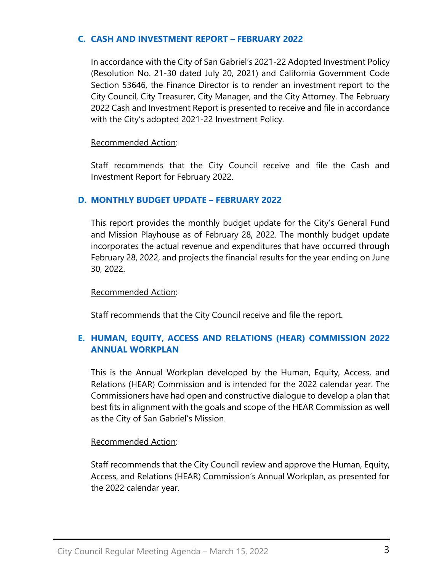## **C. [CASH AND INVESTMENT REPORT](https://www.sangabrielcity.com/DocumentCenter/View/16216/Item-4C---Cash-and-Investment-Report---Feb-2022) – FEBRUARY 2022**

In accordance with the City of San Gabriel's 2021-22 Adopted Investment Policy (Resolution No. 21-30 dated July 20, 2021) and California Government Code Section 53646, the Finance Director is to render an investment report to the City Council, City Treasurer, City Manager, and the City Attorney. The February 2022 Cash and Investment Report is presented to receive and file in accordance with the City's adopted 2021-22 Investment Policy.

## Recommended Action:

Staff recommends that the City Council receive and file the Cash and Investment Report for February 2022.

# **D. [MONTHLY BUDGET UPDATE](https://www.sangabrielcity.com/DocumentCenter/View/16217/Item-4D---Monthly-Budget-Update---Feb-2022) – FEBRUARY 2022**

This report provides the monthly budget update for the City's General Fund and Mission Playhouse as of February 28, 2022. The monthly budget update incorporates the actual revenue and expenditures that have occurred through February 28, 2022, and projects the financial results for the year ending on June 30, 2022.

#### Recommended Action:

Staff recommends that the City Council receive and file the report.

# **E. [HUMAN, EQUITY, ACCESS AND RELATIONS \(HEAR\) COMMISSION 2022](https://www.sangabrielcity.com/DocumentCenter/View/16218/Item-4E---HEAR-Commission-2021-22-Annual-Workplan)  [ANNUAL WORKPLAN](https://www.sangabrielcity.com/DocumentCenter/View/16218/Item-4E---HEAR-Commission-2021-22-Annual-Workplan)**

This is the Annual Workplan developed by the Human, Equity, Access, and Relations (HEAR) Commission and is intended for the 2022 calendar year. The Commissioners have had open and constructive dialogue to develop a plan that best fits in alignment with the goals and scope of the HEAR Commission as well as the City of San Gabriel's Mission.

#### Recommended Action:

Staff recommends that the City Council review and approve the Human, Equity, Access, and Relations (HEAR) Commission's Annual Workplan, as presented for the 2022 calendar year.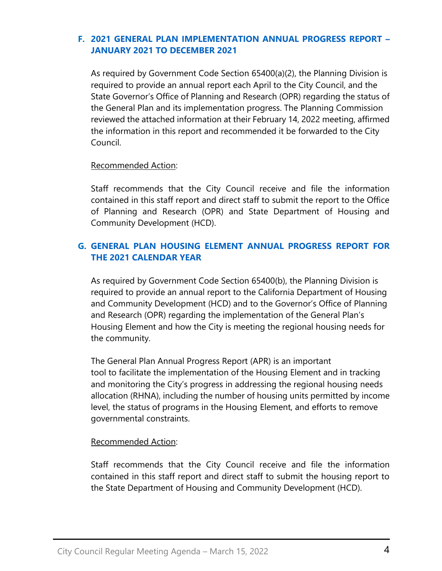# **F. [2021 GENERAL PLAN IMPLEMENTATION ANNUAL PROGRESS REPORT](https://www.sangabrielcity.com/DocumentCenter/View/16219/Item-4F---2021-General-Plan-Implementation-Annual-Progress-Report---Jan-2021-to-Dec-2021) – [JANUARY 2021 TO DECEMBER 2021](https://www.sangabrielcity.com/DocumentCenter/View/16219/Item-4F---2021-General-Plan-Implementation-Annual-Progress-Report---Jan-2021-to-Dec-2021)**

As required by Government Code Section 65400(a)(2), the Planning Division is required to provide an annual report each April to the City Council, and the State Governor's Office of Planning and Research (OPR) regarding the status of the General Plan and its implementation progress. The Planning Commission reviewed the attached information at their February 14, 2022 meeting, affirmed the information in this report and recommended it be forwarded to the City Council.

# Recommended Action:

Staff recommends that the City Council receive and file the information contained in this staff report and direct staff to submit the report to the Office of Planning and Research (OPR) and State Department of Housing and Community Development (HCD).

# **G. [GENERAL PLAN HOUSING ELEMENT ANNUAL PROGRESS REPORT FOR](https://www.sangabrielcity.com/DocumentCenter/View/16220/Item-4G---General-Plan-Housing-Element-Annual-Progress-Report-for-2021-Calendar-Year)  [THE 2021 CALENDAR YEAR](https://www.sangabrielcity.com/DocumentCenter/View/16220/Item-4G---General-Plan-Housing-Element-Annual-Progress-Report-for-2021-Calendar-Year)**

As required by Government Code Section 65400(b), the Planning Division is required to provide an annual report to the California Department of Housing and Community Development (HCD) and to the Governor's Office of Planning and Research (OPR) regarding the implementation of the General Plan's Housing Element and how the City is meeting the regional housing needs for the community.

The General Plan Annual Progress Report (APR) is an important tool to facilitate the implementation of the Housing Element and in tracking and monitoring the City's progress in addressing the regional housing needs allocation (RHNA), including the number of housing units permitted by income level, the status of programs in the Housing Element, and efforts to remove governmental constraints.

# Recommended Action:

Staff recommends that the City Council receive and file the information contained in this staff report and direct staff to submit the housing report to the State Department of Housing and Community Development (HCD).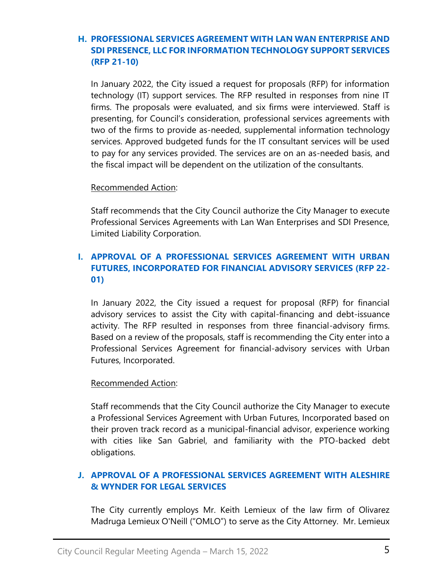# **H. [PROFESSIONAL SERVICES AGREEMENT WITH LAN WAN ENTERPRISE AND](https://www.sangabrielcity.com/DocumentCenter/View/16225/Item-4H---Professional-Services-Agreement-for-IT-Support-Services-RFP-21-10)  SDI PRESENCE, LLC [FOR INFORMATION TECHNOLOGY SUPPORT SERVICES](https://www.sangabrielcity.com/DocumentCenter/View/16225/Item-4H---Professional-Services-Agreement-for-IT-Support-Services-RFP-21-10)  [\(RFP 21-10\)](https://www.sangabrielcity.com/DocumentCenter/View/16225/Item-4H---Professional-Services-Agreement-for-IT-Support-Services-RFP-21-10)**

In January 2022, the City issued a request for proposals (RFP) for information technology (IT) support services. The RFP resulted in responses from nine IT firms. The proposals were evaluated, and six firms were interviewed. Staff is presenting, for Council's consideration, professional services agreements with two of the firms to provide as-needed, supplemental information technology services. Approved budgeted funds for the IT consultant services will be used to pay for any services provided. The services are on an as-needed basis, and the fiscal impact will be dependent on the utilization of the consultants.

### Recommended Action:

Staff recommends that the City Council authorize the City Manager to execute Professional Services Agreements with Lan Wan Enterprises and SDI Presence, Limited Liability Corporation.

# **I. [APPROVAL OF A PROFESSIONAL SERVICES AGREEMENT](https://www.sangabrielcity.com/DocumentCenter/View/16221/Item-4I---Professional-Services-Agreement-for-Financial-Advisory-Services-RFP-22-01) WITH URBAN [FUTURES, INCORPORATED FOR FINANCIAL ADVISORY SERVICES \(RFP 22-](https://www.sangabrielcity.com/DocumentCenter/View/16221/Item-4I---Professional-Services-Agreement-for-Financial-Advisory-Services-RFP-22-01) [01\)](https://www.sangabrielcity.com/DocumentCenter/View/16221/Item-4I---Professional-Services-Agreement-for-Financial-Advisory-Services-RFP-22-01)**

In January 2022, the City issued a request for proposal (RFP) for financial advisory services to assist the City with capital-financing and debt-issuance activity. The RFP resulted in responses from three financial-advisory firms. Based on a review of the proposals, staff is recommending the City enter into a Professional Services Agreement for financial-advisory services with Urban Futures, Incorporated.

#### Recommended Action:

Staff recommends that the City Council authorize the City Manager to execute a Professional Services Agreement with Urban Futures, Incorporated based on their proven track record as a municipal-financial advisor, experience working with cities like San Gabriel, and familiarity with the PTO-backed debt obligations.

# **J. [APPROVAL OF A PROFESSIONAL SERVICES AGREEMENT WITH ALESHIRE](https://www.sangabrielcity.com/DocumentCenter/View/16231/Item-4J---Approval-of-a-Professional-Services-Agreement-with-Aleshire-and-Wynder-for-Legal-Services)  [& WYNDER FOR LEGAL SERVICES](https://www.sangabrielcity.com/DocumentCenter/View/16231/Item-4J---Approval-of-a-Professional-Services-Agreement-with-Aleshire-and-Wynder-for-Legal-Services)**

The City currently employs Mr. Keith Lemieux of the law firm of Olivarez Madruga Lemieux O'Neill ("OMLO") to serve as the City Attorney. Mr. Lemieux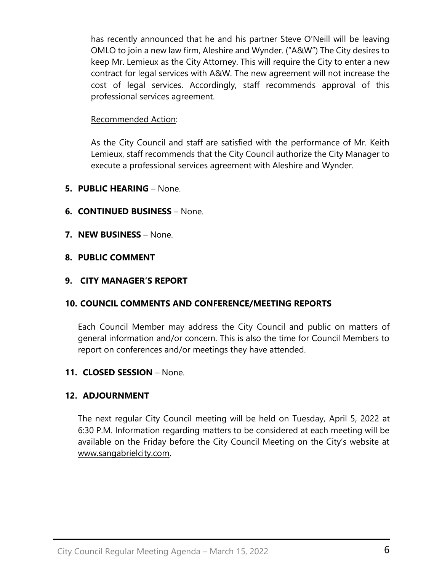has recently announced that he and his partner Steve O'Neill will be leaving OMLO to join a new law firm, Aleshire and Wynder. ("A&W") The City desires to keep Mr. Lemieux as the City Attorney. This will require the City to enter a new contract for legal services with A&W. The new agreement will not increase the cost of legal services. Accordingly, staff recommends approval of this professional services agreement.

## Recommended Action:

As the City Council and staff are satisfied with the performance of Mr. Keith Lemieux, staff recommends that the City Council authorize the City Manager to execute a professional services agreement with Aleshire and Wynder.

- **5. PUBLIC HEARING** None.
- **6. CONTINUED BUSINESS**  None.
- **7. NEW BUSINESS** None.
- **8. PUBLIC COMMENT**

### **9. CITY MANAGER'S REPORT**

# **10. COUNCIL COMMENTS AND CONFERENCE/MEETING REPORTS**

Each Council Member may address the City Council and public on matters of general information and/or concern. This is also the time for Council Members to report on conferences and/or meetings they have attended.

#### **11. CLOSED SESSION** – None.

# **12. ADJOURNMENT**

The next regular City Council meeting will be held on Tuesday, April 5, 2022 at 6:30 P.M. Information regarding matters to be considered at each meeting will be available on the Friday before the City Council Meeting on the City's website at [www.sangabrielcity.com.](http://www.sangabrielcity.com/)